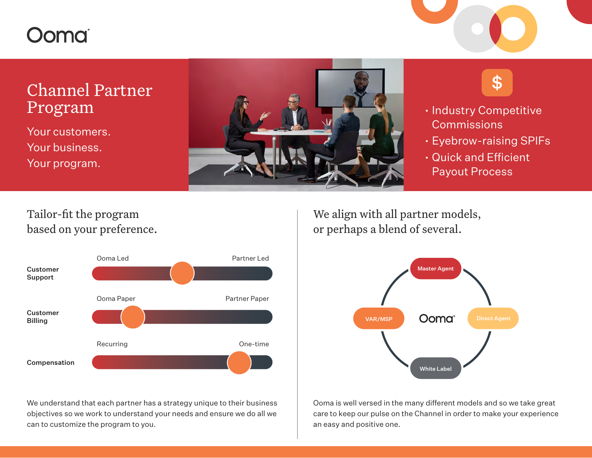# Oomai

# Channel Partner Program

Your customers. Your business. Your program.





- Industry Competitive Commissions
- Eyebrow-raising SPIFs
- Quick and Efficient Payout Process

### Tailor-fit the program based on your preference.



We understand that each partner has a strategy unique to their business objectives so we work to understand your needs and ensure we do all we can to customize the program to you.

We align with all partner models, or perhaps a blend of several.



Ooma is well versed in the many different models and so we take great care to keep our pulse on the Channel in order to make your experience an easy and positive one.